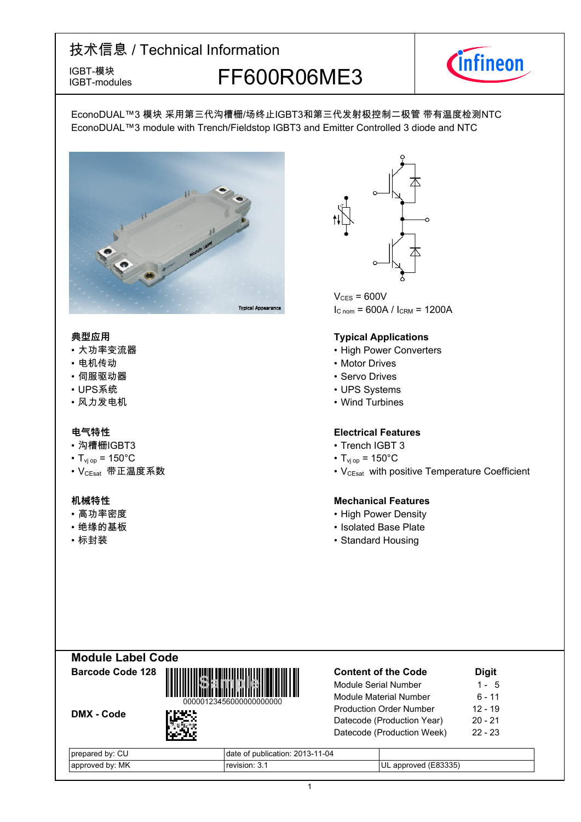IGBT-modules

## IGBT-模块<br>IGBT-modules FF600R06ME3



EconoDUAL™3 模块 采用第三代沟槽栅/场终止IGBT3和第三代发射极控制二极管 带有温度检测NTC EconoDUAL™3 module with Trench/Fieldstop IGBT3 and Emitter Controlled 3 diode and NTC



- 大功率变流器
- 电机传动
- 伺服驱动器
- UPS系统 UPS-
- 风力发电机

- 沟槽栅IGBT3
- $T_{\text{vj}}$  op = 150°C T<sub>vj</sub>
- VCEsat--带正温度系数 VCEsat-

- 高功率密度
- •绝缘的基板
- 



 $V_{CES} = 600V$  $I_{C \text{ nom}} = 600A / I_{CRM} = 1200A$ 

#### **典型应用 Typical-Applications**

- Power Converters
- Motor Drives
- Servo Drives
- UPS Systems
- Wind Turbines

### **电气特性 Electrical-Features**

- IGBT-3
- $_{\text{op}}$  = 150 $^{\circ}$ C
- with positive Temperature Coefficient

### **机械特性 Mechanical-Features**

- Power Density
- Base-Plate
- 标封装 Standard Housing



| <b>Content of the Code</b>     | <b>Digit</b> |
|--------------------------------|--------------|
| Module Serial Number           | 1 - 5        |
| Module Material Number         | $6 - 11$     |
| <b>Production Order Number</b> | $12 - 19$    |
| Datecode (Production Year)     | 20 - 21      |
| Datecode (Production Week)     | $22 - 23$    |
|                                |              |

| $\sim$<br>bv:<br><b>prepared</b><br>U | 1-04<br>201<br>bublication:<br>n-<br>__ |                                    |
|---------------------------------------|-----------------------------------------|------------------------------------|
| MK<br>hv.<br>`roven<br>anni           | rovinion<br>-11/1-                      | ろろろピ<br>appr<br>over<br>UL<br>ააათ |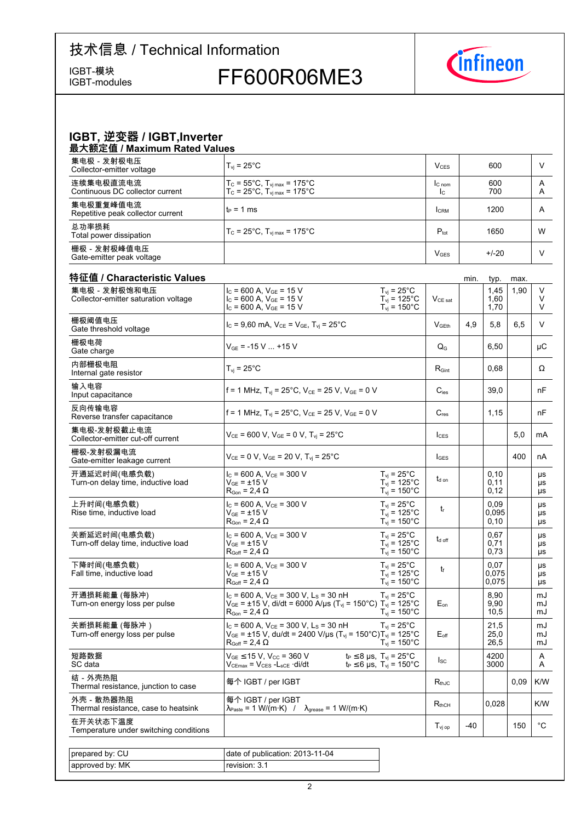IGBT-模块<br>IGBT-modules

FF600R06ME3



|         | IGBT, 逆变器 / IGBT, Inverter |
|---------|----------------------------|
| ------- |                            |

| 最大额定值 / Maximum Rated Values                   |                                                                                                                        |                          |            |        |
|------------------------------------------------|------------------------------------------------------------------------------------------------------------------------|--------------------------|------------|--------|
| 集电极 - 发射极电压<br>Collector-emitter voltage       | $T_{vi}$ = 25 $^{\circ}$ C                                                                                             | V <sub>CFS</sub>         | 600        |        |
| 连续集电极直流电流<br>Continuous DC collector current   | $T_c = 55^{\circ}$ C, $T_{\text{vi max}} = 175^{\circ}$ C<br>$T_c = 25^{\circ}$ C, $T_{\text{vi max}} = 175^{\circ}$ C | IC <sub>nom</sub><br>Ic. | 600<br>700 | A<br>A |
| 集电极重复峰值电流<br>Repetitive peak collector current | $t_P = 1$ ms                                                                                                           | <b>CRM</b>               | 1200       | A      |
| 总功率损耗<br>Total power dissipation               | $T_c = 25^{\circ}C$ , $T_{\text{vi max}} = 175^{\circ}C$                                                               | $P_{\text{tot}}$         | 1650       | W      |
| 栅极-发射极峰值电压<br>Gate-emitter peak voltage        |                                                                                                                        | <b>V<sub>GES</sub></b>   | $+/-20$    |        |

| 特征值 / Characteristic Values<br>集电极-发射极饱和电压          | $I_c$ = 600 A, $V_{GE}$ = 15 V                                                                                                                                                    | $T_{vi}$ = 25°C                                                                      |                     |     | typ.<br>1,45           | max.<br>1,90 | V                     |
|-----------------------------------------------------|-----------------------------------------------------------------------------------------------------------------------------------------------------------------------------------|--------------------------------------------------------------------------------------|---------------------|-----|------------------------|--------------|-----------------------|
| Collector-emitter saturation voltage                | $I_c$ = 600 A, $V_{GE}$ = 15 V<br>$I_c = 600$ A, $V_{GE} = 15$ V                                                                                                                  | $T_{\text{vj}}$ = 125°C<br>$T_{vi} = 150^{\circ}$ C                                  | $V_{\text{CE sat}}$ |     | 1,60<br>1.70           |              | V<br>V                |
| 栅极阈值电压<br>Gate threshold voltage                    | $I_C = 9,60$ mA, $V_{CE} = V_{GE}$ , $T_{vi} = 25^{\circ}$ C                                                                                                                      |                                                                                      | V <sub>GFth</sub>   | 4.9 | 5,8                    | 6.5          | V                     |
| 栅极电荷<br>Gate charge                                 | $V_{GE}$ = -15 V  +15 V                                                                                                                                                           |                                                                                      | $Q_{G}$             |     | 6,50                   |              | μC                    |
| 内部栅极电阻<br>Internal gate resistor                    | $T_{vi}$ = 25 $^{\circ}$ C                                                                                                                                                        |                                                                                      | $R_{\text{Gint}}$   |     | 0,68                   |              | Ω                     |
| 输入电容<br>Input capacitance                           | f = 1 MHz, $T_{vi}$ = 25°C, $V_{CE}$ = 25 V, $V_{GE}$ = 0 V                                                                                                                       |                                                                                      | $C_{\text{ies}}$    |     | 39.0                   |              | nF                    |
| 反向传输电容<br>Reverse transfer capacitance              | f = 1 MHz, T <sub>vi</sub> = 25°C, V <sub>CE</sub> = 25 V, V <sub>GE</sub> = 0 V                                                                                                  |                                                                                      | $C_{res}$           |     | 1,15                   |              | nF                    |
| 集电极-发射极截止电流<br>Collector-emitter cut-off current    | $V_{CE}$ = 600 V, $V_{GE}$ = 0 V, $T_{vi}$ = 25°C                                                                                                                                 |                                                                                      | $I_{CES}$           |     |                        | 5,0          | mA                    |
| 栅极-发射极漏电流<br>Gate-emitter leakage current           | $V_{CE} = 0 V$ , $V_{GE} = 20 V$ , $T_{vi} = 25^{\circ}C$                                                                                                                         |                                                                                      | $I_{GES}$           |     |                        | 400          | nA                    |
| 开通延迟时间(电感负载)<br>Turn-on delay time, inductive load  | $I_c = 600$ A, $V_{CE} = 300$ V<br>$V_{GF}$ = $\pm 15$ V<br>$R_{\text{Gon}}$ = 2,4 $\Omega$                                                                                       | $T_{vi}$ = 25°C<br>$T_{\text{vj}}$ = 125°C<br>$T_{vi}$ = 150 $^{\circ}$ C            | t <sub>d on</sub>   |     | 0.10<br>0,11<br>0,12   |              | μs<br>μs<br>μs        |
| 上升时间(电感负载)<br>Rise time, inductive load             | $I_C$ = 600 A, $V_{CE}$ = 300 V<br>$V_{GE}$ = $\pm$ 15 V<br>$R_{\text{Gon}}$ = 2,4 $\Omega$                                                                                       | $T_{\rm vj}$ = 25°C<br>$T_{\text{vj}}$ = 125°C<br>$T_{vi}$ = 150 $^{\circ}$ C        | tr                  |     | 0,09<br>0,095<br>0,10  |              | μs<br>μs<br>μs        |
| 关断延迟时间(电感负载)<br>Turn-off delay time, inductive load | $I_c = 600$ A, $V_{CE} = 300$ V<br>$V_{GE}$ = $\pm$ 15 V<br>$R_{Goff}$ = 2,4 $\Omega$                                                                                             | $T_{vi}$ = 25°C<br>$T_{vi}$ = 125 $^{\circ}$ C<br>$T_{vi}$ = 150 $^{\circ}$ C        | $t_{d \text{ off}}$ |     | 0.67<br>0,71<br>0,73   |              | μs<br>μs<br>μs        |
| 下降时间(电感负载)<br>Fall time, inductive load             | $I_c = 600$ A, $V_{CE} = 300$ V<br>$V_{GE}$ = $\pm$ 15 V<br>$R_{Goff}$ = 2,4 $\Omega$                                                                                             | $T_{vi}$ = 25 $^{\circ}$ C<br>$T_{vi}$ = 125°C<br>$T_{\rm vj} = 150^{\circ}$ C       | t                   |     | 0.07<br>0,075<br>0,075 |              | <b>US</b><br>μs<br>μs |
| 开通损耗能量 (每脉冲)<br>Turn-on energy loss per pulse       | $I_c$ = 600 A, $V_{CE}$ = 300 V, L <sub>s</sub> = 30 nH<br>$V_{GE}$ = ±15 V, di/dt = 6000 A/µs (T <sub>vi</sub> = 150°C) T <sub>vi</sub> = 125°C<br>$R_{\text{Gon}} = 2,4 \Omega$ | $T_{\rm vj}$ = 25°C<br>$T_{vi}$ = 150 $^{\circ}$ C                                   | $E_{on}$            |     | 8,90<br>9,90<br>10,5   |              | mJ<br>mJ<br>mJ        |
| 关断损耗能量 (每脉冲 )<br>Turn-off energy loss per pulse     | $I_C$ = 600 A, $V_{CE}$ = 300 V, L <sub>S</sub> = 30 nH<br>$V_{GE}$ = ±15 V, du/dt = 2400 V/µs (T <sub>vi</sub> = 150°C)T <sub>vi</sub> = 125°C<br>$R_{Goff}$ = 2,4 $\Omega$      | $T_{vi}$ = 25 $^{\circ}$ C<br>$T_{vi}$ = 150 $^{\circ}$ C                            | $E_{\text{off}}$    |     | 21,5<br>25,0<br>26,5   |              | mJ<br>mJ<br>mJ        |
| 短路数据<br>SC data                                     | $V_{GE}$ $\leq$ 15 V, V <sub>CC</sub> = 360 V<br>$V_{CEmax}$ = $V_{CES}$ - $L_{sCE}$ ·di/dt                                                                                       | $t_P \leq 8$ µs, $T_{vi} = 25^{\circ}$ C<br>$t_P \le 6$ µs, $T_{vi} = 150^{\circ}$ C | $_{\rm lsc}$        |     | 4200<br>3000           |              | A<br>A                |
| 结 - 外壳热阻<br>Thermal resistance, junction to case    | 每个 IGBT / per IGBT                                                                                                                                                                |                                                                                      | $R_{th,IC}$         |     |                        | 0,09         | K/W                   |
| 外壳 - 散热器热阻<br>Thermal resistance, case to heatsink  | 每个 IGBT / per IGBT<br>$\lambda_{\text{Paste}} = 1 \text{ W/(m·K)}$ / $\lambda_{\text{grease}} = 1 \text{ W/(m·K)}$                                                                |                                                                                      | $R_{thCH}$          |     | 0,028                  |              | K/W                   |
| 在开关状态下温度<br>Temperature under switching conditions  |                                                                                                                                                                                   |                                                                                      | $T_{\text{vj op}}$  | -40 |                        | 150          | °C                    |
|                                                     |                                                                                                                                                                                   |                                                                                      |                     |     |                        |              |                       |
| prepared by: CU                                     | date of publication: 2013-11-04                                                                                                                                                   |                                                                                      |                     |     |                        |              |                       |
| approved by: MK                                     | revision: 3.1                                                                                                                                                                     |                                                                                      |                     |     |                        |              |                       |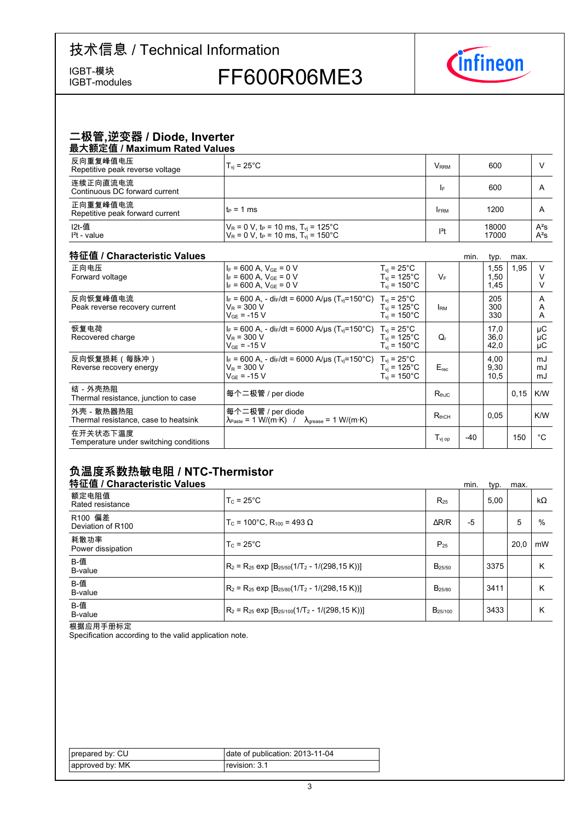IGBT-modules

IGBT-模块<br>IGBT-modules FF600R06ME3



#### 二极管,逆变器 / Diode, Inverter 最大额定值 / Maximum Rated Values

| A                                           |                                                                                                                               |                         |                |                  |
|---------------------------------------------|-------------------------------------------------------------------------------------------------------------------------------|-------------------------|----------------|------------------|
| 反向重复峰值电压<br>Repetitive peak reverse voltage | $T_{\rm vi}$ = 25 $^{\circ}$ C                                                                                                | <b>V</b> <sub>RRM</sub> | 600            |                  |
| 连续正向直流电流<br>Continuous DC forward current   |                                                                                                                               | I۴                      | 600            | A                |
| 正向重复峰值电流<br>Repetitive peak forward current | it∍ = 1 ms                                                                                                                    | <b>FRM</b>              | 1200           | A                |
| I2t-值<br>$l2t - value$                      | $V_R$ = 0 V, t <sub>P</sub> = 10 ms, T <sub>vi</sub> = 125°C<br>$V_R$ = 0 V, t <sub>P</sub> = 10 ms, T <sub>vj</sub> = 150 °C | $ ^{2}t$                | 18000<br>17000 | $A^2S$<br>$A^2S$ |

#### 特征值 / Characteristic

| 特征值 / Characteristic Values                        |                                                                                                                                       |                                                                           |                       | min.  | typ.                 | max. |                |
|----------------------------------------------------|---------------------------------------------------------------------------------------------------------------------------------------|---------------------------------------------------------------------------|-----------------------|-------|----------------------|------|----------------|
| 正向电压<br>Forward voltage                            | $I_F = 600$ A, $V_{GF} = 0$ V<br>$I_F = 600$ A, $V_{GF} = 0$ V<br>$I_F = 600$ A, $V_{GF} = 0$ V                                       | $T_{vi}$ = 25°C<br>$T_{vi}$ = 125°C<br>$T_{\text{vi}}$ = 150 $^{\circ}$ C | $V_F$                 |       | 1,55<br>1,50<br>1,45 | 1,95 |                |
| 反向恢复峰值电流<br>Peak reverse recovery current          | $I_F = 600$ A, - di <sub>F</sub> /dt = 6000 A/us (T <sub>vi</sub> =150°C) T <sub>vi</sub> = 25°C<br>$V_R = 300 V$<br>$V_{GF}$ = -15 V | $T_{vi}$ = 125 $^{\circ}$ C<br>$T_{\text{vi}}$ = 150 $^{\circ}$ C         | <b>IRM</b>            |       | 205<br>300<br>330    |      | A<br>A<br>A    |
| 恢复电荷<br>Recovered charge                           | $I_F = 600$ A, - dir/dt = 6000 A/us (T <sub>vi</sub> =150°C) T <sub>vi</sub> = 25°C<br>$V_R$ = 300 V<br>$V_{GF}$ = -15 V              | $T_{\rm vi}$ = 125°C<br>$T_{\rm vi}$ = 150 $^{\circ}$ C                   | Q,                    |       | 17.0<br>36,0<br>42,0 |      | μC<br>μC<br>μC |
| 反向恢复损耗(每脉冲)<br>Reverse recovery energy             | $I_F = 600$ A, - di <sub>F</sub> /dt = 6000 A/us (T <sub>vi</sub> =150°C) T <sub>vi</sub> = 25°C<br>$V_R$ = 300 V<br>$V_{GF}$ = -15 V | $T_{\rm vi}$ = 125°C<br>$T_{\rm vi}$ = 150°C                              | $E_{rec}$             |       | 4,00<br>9,30<br>10,5 |      | mJ<br>mJ<br>mJ |
| 结-外壳热阻<br>Thermal resistance, junction to case     | 每个二极管 / per diode                                                                                                                     |                                                                           | $R_{thJC}$            |       |                      | 0,15 | K/W            |
| 外壳 - 散热器热阻<br>Thermal resistance, case to heatsink | 每个二极管 / per diode<br>$\lambda_{\text{Paste}} = 1 \text{ W/(m·K)}$ / $\lambda_{\text{grease}} = 1 \text{ W/(m·K)}$                     |                                                                           | $R_{thCH}$            |       | 0.05                 |      | K/W            |
| 在开关状态下温度<br>Temperature under switching conditions |                                                                                                                                       |                                                                           | $T_{\mathsf{vi\ op}}$ | $-40$ |                      | 150  | °C             |

### 负温度系数热敏电阻 / NTC-Thermistor

| 特征值 / Characteristic Values  |                                                          |                     | min. | typ. | max. |           |
|------------------------------|----------------------------------------------------------|---------------------|------|------|------|-----------|
| 额定电阻值<br>Rated resistance    | $T_c = 25^{\circ}$ C                                     | $R_{25}$            |      | 5,00 |      | $k\Omega$ |
| R100 偏差<br>Deviation of R100 | $T_c$ = 100°C. R <sub>100</sub> = 493 Ω                  | $\Delta$ R/R        | -5   |      | 5    | %         |
| 耗散功率<br>Power dissipation    | $T_c = 25^{\circ}$ C                                     | $P_{25}$            |      |      | 20.0 | mW        |
| B-值<br>B-value               | $R_2 = R_{25}$ exp $[B_{25/50}(1/T_2 - 1/(298, 15 K))]$  | $B_{25/50}$         |      | 3375 |      | К         |
| <b>B-值</b><br>B-value        | $R_2 = R_{25}$ exp $[B_{25/80}(1/T_2 - 1/(298.15 K))]$   | B <sub>25/80</sub>  |      | 3411 |      | K         |
| B-值<br>B-value               | $R_2 = R_{25}$ exp $[B_{25/100}(1/T_2 - 1/(298, 15 K))]$ | B <sub>25/100</sub> |      | 3433 |      | К         |

根据应用手册标定

Specification according to the valid application note.

| prepared by: CU | date of publication: 2013-11-04 |
|-----------------|---------------------------------|
| approved by: MK | revision: 3.1                   |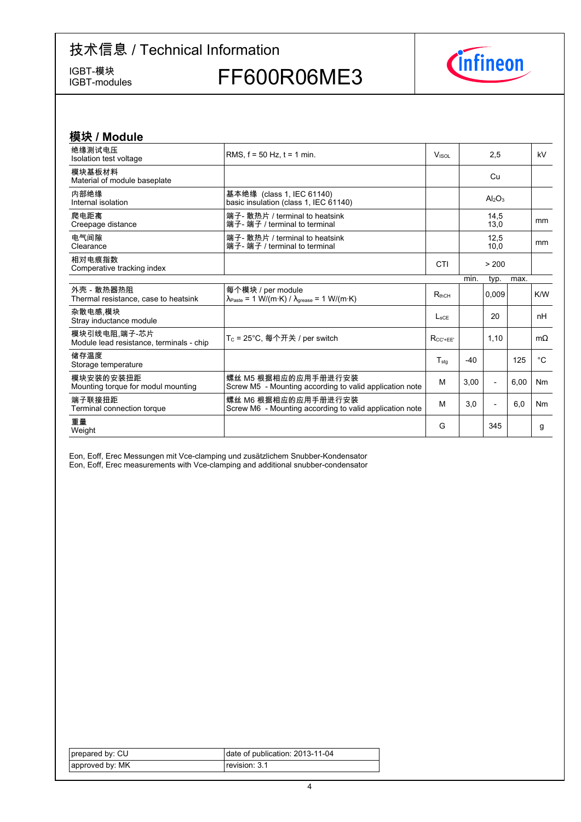IGBT-modules

IGBT-模块<br>IGBT-modules FF600R06ME3



| 模块 / Module                                              |                                                                                                                                                         |                  |       |                |      |                |
|----------------------------------------------------------|---------------------------------------------------------------------------------------------------------------------------------------------------------|------------------|-------|----------------|------|----------------|
| 绝缘测试电压<br>Isolation test voltage                         | RMS. $f = 50$ Hz. $t = 1$ min.                                                                                                                          | <b>VISOL</b>     |       | 2,5            |      | kV             |
| 模块基板材料<br>Material of module baseplate                   |                                                                                                                                                         |                  |       | Cu             |      |                |
| 内部绝缘<br>Internal isolation                               | 基本绝缘 (class 1, IEC 61140)<br>basic insulation (class 1, IEC 61140)                                                                                      |                  |       | $Al_2O_3$      |      |                |
| 爬电距离<br>Creepage distance                                | 端子- 散热片 / terminal to heatsink<br>端子- 端子 / terminal to terminal                                                                                         |                  |       | 14,5<br>13,0   |      | mm             |
| 电气间隙<br>Clearance                                        | 端子- 散热片 / terminal to heatsink<br>端子- 端子 / terminal to terminal                                                                                         |                  |       | 12,5<br>10.0   |      | <sub>mm</sub>  |
| 相对电痕指数<br>Comperative tracking index                     |                                                                                                                                                         | CTI              |       | > 200          |      |                |
|                                                          |                                                                                                                                                         |                  | min.  | typ.           | max. |                |
| 外壳 - 散热器热阻<br>Thermal resistance, case to heatsink       | 每个模块 / per module<br>$\lambda_{\text{Paste}} = 1 \text{ W}/(\text{m} \cdot \text{K}) / \lambda_{\text{grease}} = 1 \text{ W}/(\text{m} \cdot \text{K})$ | $R_{thCH}$       |       | 0,009          |      | K/W            |
| 杂散电感 模块<br>Stray inductance module                       |                                                                                                                                                         | $L_{\text{SCF}}$ |       | 20             |      | nH             |
| 模块引线电阻.端子-芯片<br>Module lead resistance, terminals - chip | T <sub>C</sub> = 25°C, 每个开关 / per switch                                                                                                                | $R_{CC' + FF'}$  |       | 1,10           |      | $m\Omega$      |
| 储存温度<br>Storage temperature                              |                                                                                                                                                         | $T_{sta}$        | $-40$ |                | 125  | $^{\circ}C$    |
| 模块安装的安装扭距<br>Mounting torque for modul mounting          | 螺丝 M5 根据相应的应用手册进行安装<br>Screw M5 - Mounting according to valid application note                                                                          | м                | 3.00  | $\overline{a}$ | 6,00 | N <sub>m</sub> |
| 端子联接扭距<br>Terminal connection torque                     | 螺丝 M6 根据相应的应用手册进行安装<br>Screw M6 - Mounting according to valid application note                                                                          | M                | 3,0   |                | 6,0  | N <sub>m</sub> |
| 重量<br>Weight                                             |                                                                                                                                                         | G                |       | 345            |      | g              |

Eon, Eoff, Erec Messungen mit Vce-clamping und zusätzlichem Snubber-Kondensator Eon, Eoff, Erec measurements with Vce-clamping and additional snubber-condensator

| prepared by: CU | date of publication: 2013-11-04 |
|-----------------|---------------------------------|
| approved by: MK | revision: 3.1                   |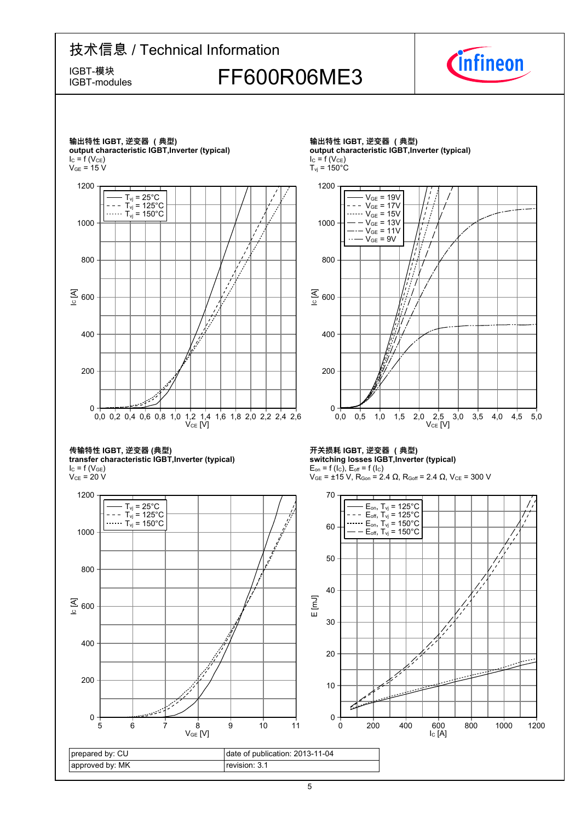IGBT-modules

## IGBT-模块<br>IGBT-modules FF600R06ME3



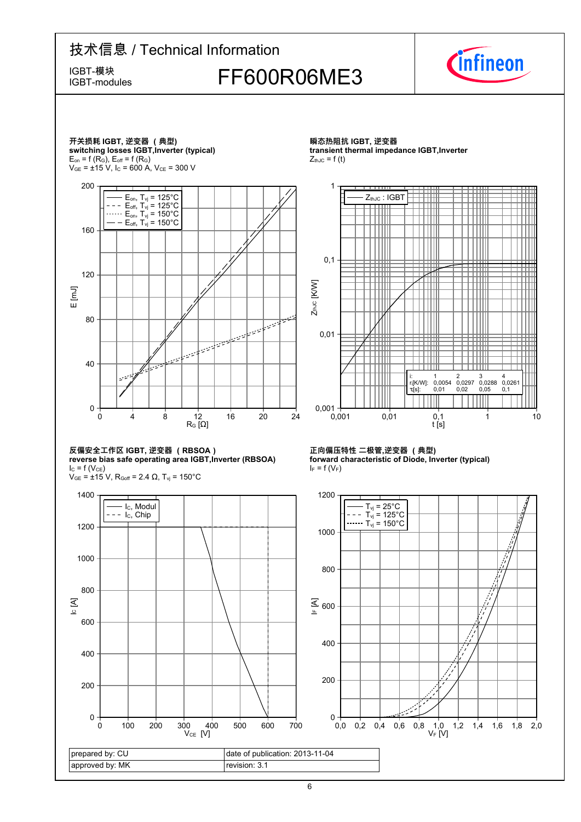### 技术信息 / Technical Information IGBT-模块<br>IGBT-modules FF600R06ME3 IGBT-modules





prepared by: CU approved by: MK date of publication: 2013-11-04 revision: 3.1  $V_{CE}$  [V]  $\circ$  [A] 0 100 200 300 400 500 600 700 0 200 400 600 800 1000 1200 1400 - I<sub>C</sub>, Modul  $- - I_c$ , Chip

瞬态热阻抗 IGBT, 逆变器 **transient thermal impedance IGBT, Inverter**  $Z_{thJC} = f(t)$ 



#### 正向偏压特性 二极管,逆变器 (典型) **forward characteristic of Diode, Inverter (typical)**  $I_F = f(V_F)$

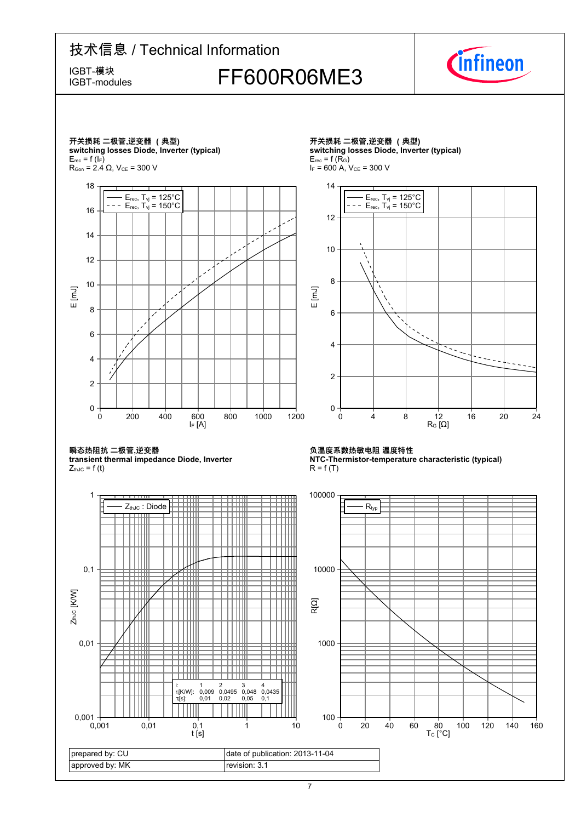IGBT-modules

IGBT-模块<br>IGBT-modules FF600R06ME3



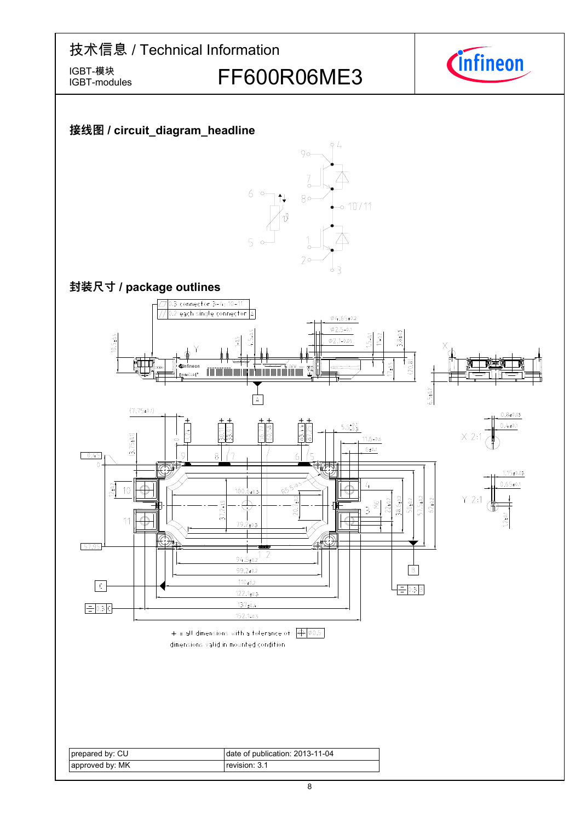IGBT-modules

IGBT-模块<br>IGBT-modules FF600R06ME3



### **接线图-/-circuit\_diagram\_headline**